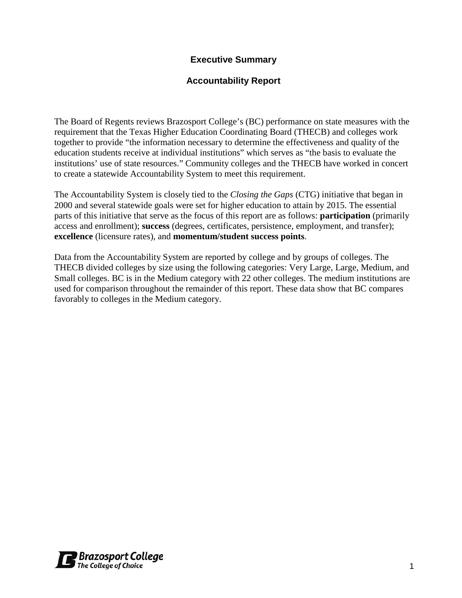# **Executive Summary**

# **Accountability Report**

The Board of Regents reviews Brazosport College's (BC) performance on state measures with the requirement that the Texas Higher Education Coordinating Board (THECB) and colleges work together to provide "the information necessary to determine the effectiveness and quality of the education students receive at individual institutions" which serves as "the basis to evaluate the institutions' use of state resources." Community colleges and the THECB have worked in concert to create a statewide Accountability System to meet this requirement.

The Accountability System is closely tied to the *Closing the Gaps* (CTG) initiative that began in 2000 and several statewide goals were set for higher education to attain by 2015. The essential parts of this initiative that serve as the focus of this report are as follows: **participation** (primarily access and enrollment); **success** (degrees, certificates, persistence, employment, and transfer); **excellence** (licensure rates), and **momentum/student success points**.

Data from the Accountability System are reported by college and by groups of colleges. The THECB divided colleges by size using the following categories: Very Large, Large, Medium, and Small colleges. BC is in the Medium category with 22 other colleges. The medium institutions are used for comparison throughout the remainder of this report. These data show that BC compares favorably to colleges in the Medium category.

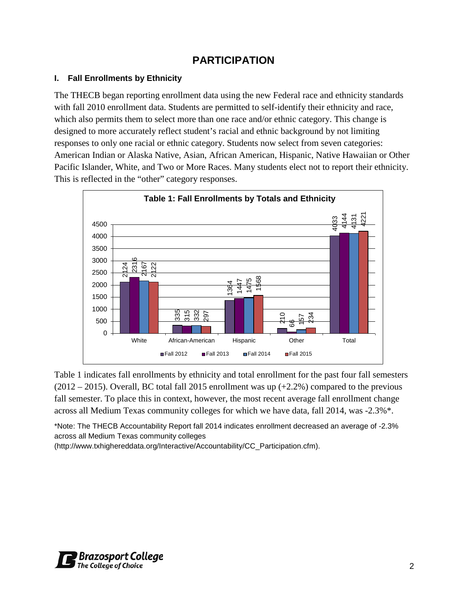# **PARTICIPATION**

## **I. Fall Enrollments by Ethnicity**

The THECB began reporting enrollment data using the new Federal race and ethnicity standards with fall 2010 enrollment data. Students are permitted to self-identify their ethnicity and race, which also permits them to select more than one race and/or ethnic category. This change is designed to more accurately reflect student's racial and ethnic background by not limiting responses to only one racial or ethnic category. Students now select from seven categories: American Indian or Alaska Native, Asian, African American, Hispanic, Native Hawaiian or Other Pacific Islander, White, and Two or More Races. Many students elect not to report their ethnicity. This is reflected in the "other" category responses.



Table 1 indicates fall enrollments by ethnicity and total enrollment for the past four fall semesters  $(2012 – 2015)$ . Overall, BC total fall 2015 enrollment was up  $(+2.2%)$  compared to the previous fall semester. To place this in context, however, the most recent average fall enrollment change across all Medium Texas community colleges for which we have data, fall 2014, was -2.3%\*.

\*Note: The THECB Accountability Report fall 2014 indicates enrollment decreased an average of -2.3% across all Medium Texas community colleges

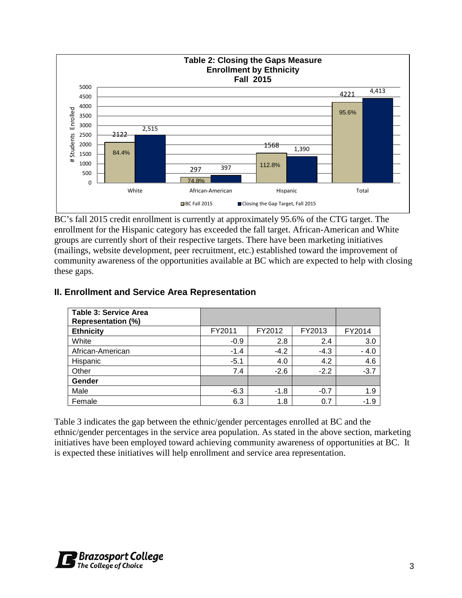

BC's fall 2015 credit enrollment is currently at approximately 95.6% of the CTG target. The enrollment for the Hispanic category has exceeded the fall target. African-American and White groups are currently short of their respective targets. There have been marketing initiatives (mailings, website development, peer recruitment, etc.) established toward the improvement of community awareness of the opportunities available at BC which are expected to help with closing these gaps.

| <b>Table 3: Service Area</b><br><b>Representation (%)</b> |        |        |        |        |
|-----------------------------------------------------------|--------|--------|--------|--------|
| <b>Ethnicity</b>                                          | FY2011 | FY2012 | FY2013 | FY2014 |
| White                                                     | $-0.9$ | 2.8    | 2.4    | 3.0    |
| African-American                                          | $-1.4$ | $-4.2$ | $-4.3$ | $-4.0$ |
| Hispanic                                                  | $-5.1$ | 4.0    | 4.2    | 4.6    |
| Other                                                     | 7.4    | $-2.6$ | $-2.2$ | $-3.7$ |
| Gender                                                    |        |        |        |        |
| Male                                                      | $-6.3$ | $-1.8$ | $-0.7$ | 1.9    |
| Female                                                    | 6.3    | 1.8    | 0.7    | $-1.9$ |

# **II. Enrollment and Service Area Representation**

Table 3 indicates the gap between the ethnic/gender percentages enrolled at BC and the ethnic/gender percentages in the service area population. As stated in the above section, marketing initiatives have been employed toward achieving community awareness of opportunities at BC. It is expected these initiatives will help enrollment and service area representation.

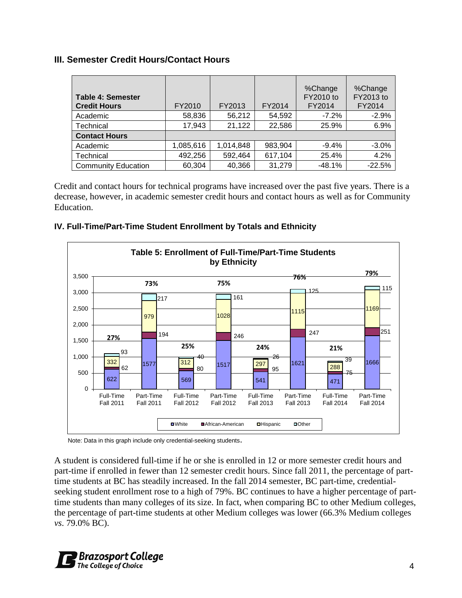# **III. Semester Credit Hours/Contact Hours**

| <b>Table 4: Semester</b><br><b>Credit Hours</b> | FY2010    | FY2013    | FY2014  | %Change<br>FY2010 to<br>FY2014 | %Change<br>FY2013 to<br>FY2014 |
|-------------------------------------------------|-----------|-----------|---------|--------------------------------|--------------------------------|
| Academic                                        | 58,836    | 56,212    | 54,592  | $-7.2\%$                       | $-2.9%$                        |
| Technical                                       | 17,943    | 21,122    | 22,586  | 25.9%                          | 6.9%                           |
| <b>Contact Hours</b>                            |           |           |         |                                |                                |
| Academic                                        | 1,085,616 | 1,014,848 | 983,904 | $-9.4%$                        | $-3.0\%$                       |
| Technical                                       | 492,256   | 592,464   | 617,104 | 25.4%                          | 4.2%                           |
| <b>Community Education</b>                      | 60,304    | 40,366    | 31,279  | $-48.1%$                       | $-22.5%$                       |

Credit and contact hours for technical programs have increased over the past five years. There is a decrease, however, in academic semester credit hours and contact hours as well as for Community Education.

## **IV. Full-Time/Part-Time Student Enrollment by Totals and Ethnicity**



Note: Data in this graph include only credential-seeking students.

A student is considered full-time if he or she is enrolled in 12 or more semester credit hours and part-time if enrolled in fewer than 12 semester credit hours. Since fall 2011, the percentage of parttime students at BC has steadily increased. In the fall 2014 semester, BC part-time, credentialseeking student enrollment rose to a high of 79%. BC continues to have a higher percentage of parttime students than many colleges of its size. In fact, when comparing BC to other Medium colleges, the percentage of part-time students at other Medium colleges was lower (66.3% Medium colleges *vs*. 79.0% BC).

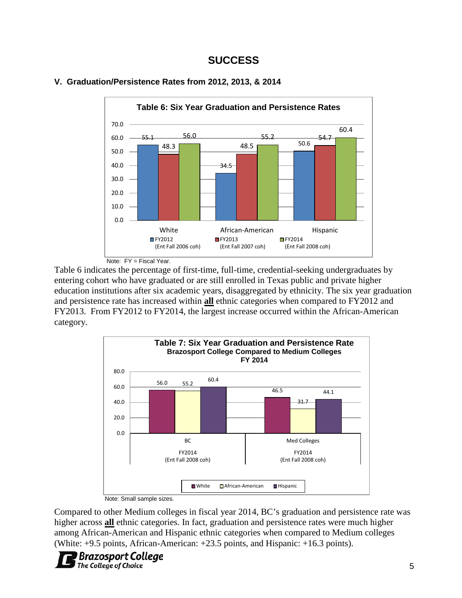

#### **V. Graduation/Persistence Rates from 2012, 2013, & 2014**



Note: FY = Fiscal Year.

Table 6 indicates the percentage of first-time, full-time, credential-seeking undergraduates by entering cohort who have graduated or are still enrolled in Texas public and private higher education institutions after six academic years, disaggregated by ethnicity. The six year graduation and persistence rate has increased within **all** ethnic categories when compared to FY2012 and FY2013. From FY2012 to FY2014, the largest increase occurred within the African-American category.



Note: Small sample sizes.

Compared to other Medium colleges in fiscal year 2014, BC's graduation and persistence rate was higher across **all** ethnic categories. In fact, graduation and persistence rates were much higher among African-American and Hispanic ethnic categories when compared to Medium colleges (White: +9.5 points, African-American: +23.5 points, and Hispanic: +16.3 points).

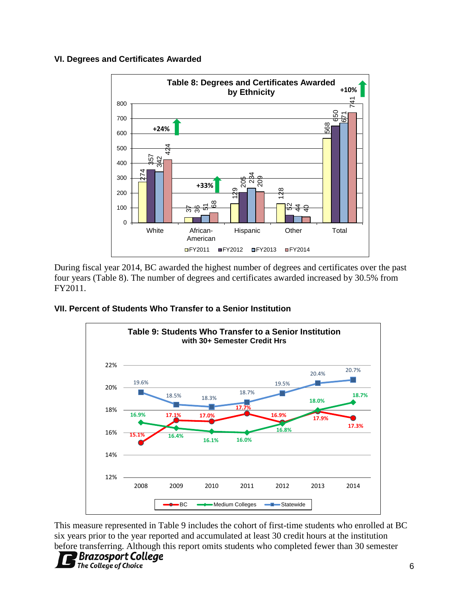#### **VI. Degrees and Certificates Awarded**



During fiscal year 2014, BC awarded the highest number of degrees and certificates over the past four years (Table 8). The number of degrees and certificates awarded increased by 30.5% from FY2011.

#### **VII. Percent of Students Who Transfer to a Senior Institution**



This measure represented in Table 9 includes the cohort of first-time students who enrolled at BC six years prior to the year reported and accumulated at least 30 credit hours at the institution

# The College of Choice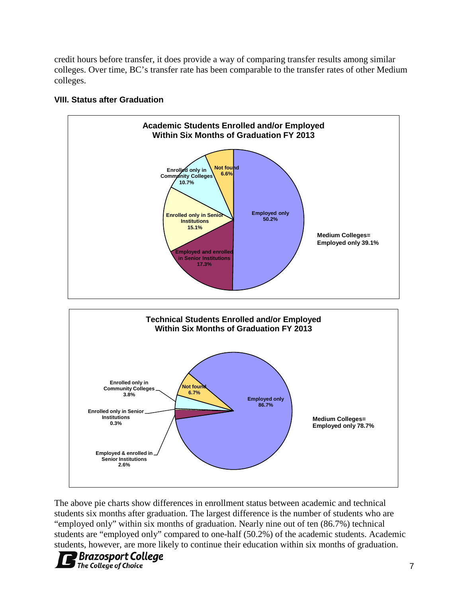credit hours before transfer, it does provide a way of comparing transfer results among similar colleges. Over time, BC's transfer rate has been comparable to the transfer rates of other Medium colleges.



# **VIII. Status after Graduation**

The above pie charts show differences in enrollment status between academic and technical students six months after graduation. The largest difference is the number of students who are "employed only" within six months of graduation. Nearly nine out of ten (86.7%) technical students are "employed only" compared to one-half (50.2%) of the academic students. Academic students, however, are more likely to continue their education within six months of graduation.

#### **Brazosport College** The College of Choice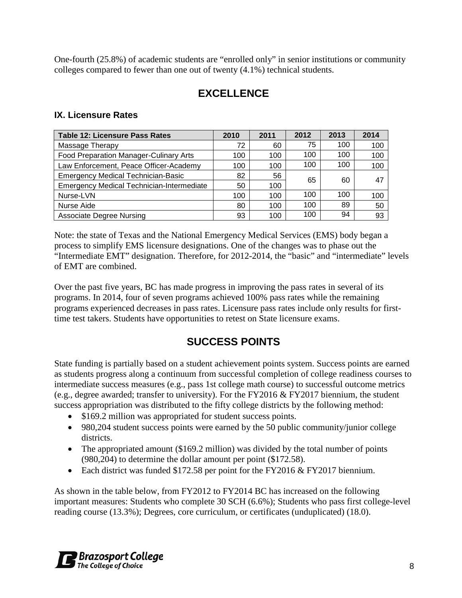One-fourth (25.8%) of academic students are "enrolled only" in senior institutions or community colleges compared to fewer than one out of twenty (4.1%) technical students.

# **EXCELLENCE**

# **IX. Licensure Rates**

| <b>Table 12: Licensure Pass Rates</b>            | 2010 | 2011 | 2012 | 2013 | 2014 |
|--------------------------------------------------|------|------|------|------|------|
| Massage Therapy                                  | 72   | 60   | 75   | 100  | 100  |
| Food Preparation Manager-Culinary Arts           | 100  | 100  | 100  | 100  | 100  |
| Law Enforcement, Peace Officer-Academy           | 100  | 100  | 100  | 100  | 100  |
| <b>Emergency Medical Technician-Basic</b>        | 82   | 56   | 65   | 60   | 47   |
| <b>Emergency Medical Technician-Intermediate</b> | 50   | 100  |      |      |      |
| Nurse-LVN                                        | 100  | 100  | 100  | 100  | 100  |
| Nurse Aide                                       | 80   | 100  | 100  | 89   | 50   |
| <b>Associate Degree Nursing</b>                  | 93   | 100  | 100  | 94   | 93   |

Note: the state of Texas and the National Emergency Medical Services (EMS) body began a process to simplify EMS licensure designations. One of the changes was to phase out the "Intermediate EMT" designation. Therefore, for 2012-2014, the "basic" and "intermediate" levels of EMT are combined.

Over the past five years, BC has made progress in improving the pass rates in several of its programs. In 2014, four of seven programs achieved 100% pass rates while the remaining programs experienced decreases in pass rates. Licensure pass rates include only results for firsttime test takers. Students have opportunities to retest on State licensure exams.

# **SUCCESS POINTS**

State funding is partially based on a student achievement points system. Success points are earned as students progress along a continuum from successful completion of college readiness courses to intermediate success measures (e.g., pass 1st college math course) to successful outcome metrics (e.g., degree awarded; transfer to university). For the FY2016 & FY2017 biennium, the student success appropriation was distributed to the fifty college districts by the following method:

- \$169.2 million was appropriated for student success points.
- 980,204 student success points were earned by the 50 public community/junior college districts.
- The appropriated amount (\$169.2 million) was divided by the total number of points (980,204) to determine the dollar amount per point (\$172.58).
- Each district was funded \$172.58 per point for the FY2016 & FY2017 biennium.

As shown in the table below, from FY2012 to FY2014 BC has increased on the following important measures: Students who complete 30 SCH (6.6%); Students who pass first college-level reading course (13.3%); Degrees, core curriculum, or certificates (unduplicated) (18.0).